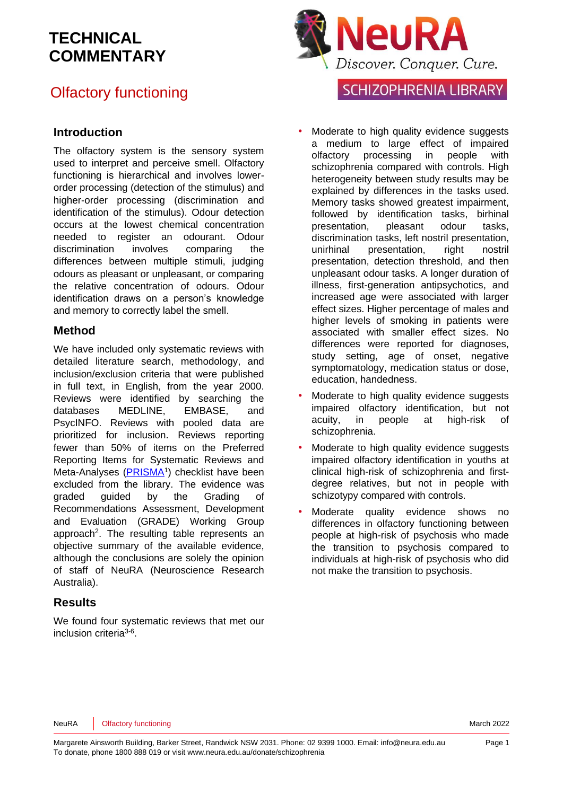## Olfactory functioning

#### **Introduction**

The olfactory system is the sensory system used to interpret and perceive smell. Olfactory functioning is hierarchical and involves lowerorder processing (detection of the stimulus) and higher-order processing (discrimination and identification of the stimulus). Odour detection occurs at the lowest chemical concentration needed to register an odourant. Odour discrimination involves comparing the differences between multiple stimuli, judging odours as pleasant or unpleasant, or comparing the relative concentration of odours. Odour identification draws on a person's knowledge and memory to correctly label the smell.

#### **Method**

We have included only systematic reviews with detailed literature search, methodology, and inclusion/exclusion criteria that were published in full text, in English, from the year 2000. Reviews were identified by searching the databases MEDLINE, EMBASE, and PsycINFO. Reviews with pooled data are prioritized for inclusion. Reviews reporting fewer than 50% of items on the Preferred Reporting Items for Systematic Reviews and Meta-Analyses [\(PRISMA](http://www.prisma-statement.org/)<sup>[1](#page-10-0)</sup>) checklist have been excluded from the library. The evidence was graded guided by the Grading of Recommendations Assessment, Development and Evaluation [\(GRADE\)](http://www.gradeworkinggroup.org/) Working Group approach<sup>2</sup>[.](#page-10-1) The resulting table represents an objective summary of the available evidence, although the conclusions are solely the opinion of staff of NeuRA (Neuroscience Research Australia).

#### **Results**

We found four systematic reviews that met our inclusion criteria<sup>[3-6](#page-10-2)</sup>.



### **SCHIZOPHRENIA LIBRARY**

- Moderate to high quality evidence suggests a medium to large effect of impaired olfactory processing in people with schizophrenia compared with controls. High heterogeneity between study results may be explained by differences in the tasks used. Memory tasks showed greatest impairment, followed by identification tasks, birhinal presentation, pleasant odour tasks, discrimination tasks, left nostril presentation, unirhinal presentation, right nostril presentation, detection threshold, and then unpleasant odour tasks. A longer duration of illness, first-generation antipsychotics, and increased age were associated with larger effect sizes. Higher percentage of males and higher levels of smoking in patients were associated with smaller effect sizes. No differences were reported for diagnoses, study setting, age of onset, negative symptomatology, medication status or dose, education, handedness.
- Moderate to high quality evidence suggests impaired olfactory identification, but not acuity, in people at high-risk of schizophrenia.
- Moderate to high quality evidence suggests impaired olfactory identification in youths at clinical high-risk of schizophrenia and firstdegree relatives, but not in people with schizotypy compared with controls.
- Moderate quality evidence shows no differences in olfactory functioning between people at high-risk of psychosis who made the transition to psychosis compared to individuals at high-risk of psychosis who did not make the transition to psychosis.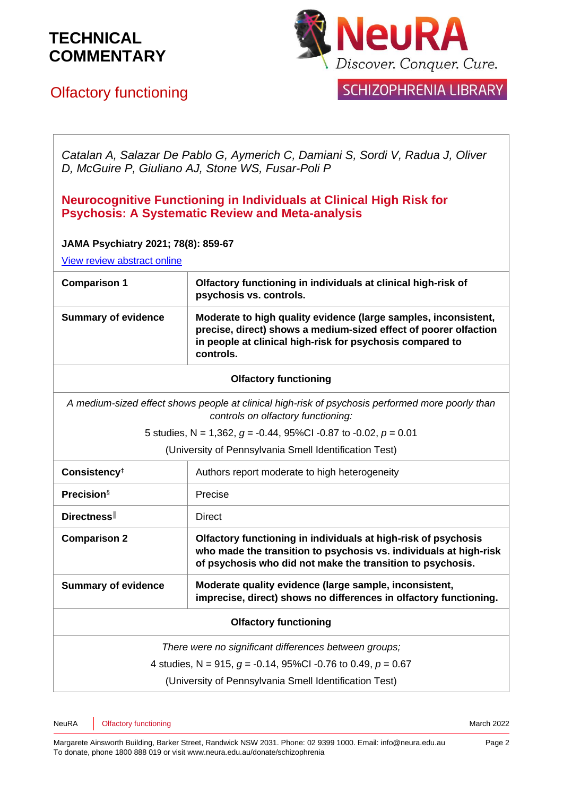

## Olfactory functioning

### **SCHIZOPHRENIA LIBRARY**

*Catalan A, Salazar De Pablo G, Aymerich C, Damiani S, Sordi V, Radua J, Oliver D, McGuire P, Giuliano AJ, Stone WS, Fusar-Poli P*

#### **Neurocognitive Functioning in Individuals at Clinical High Risk for Psychosis: A Systematic Review and Meta-analysis**

#### **JAMA Psychiatry 2021; 78(8): 859-67**

[View review abstract online](https://pubmed.ncbi.nlm.nih.gov/34132736/)

| <b>Comparison 1</b>        | Olfactory functioning in individuals at clinical high-risk of<br>psychosis vs. controls.                                                                                                                      |
|----------------------------|---------------------------------------------------------------------------------------------------------------------------------------------------------------------------------------------------------------|
| <b>Summary of evidence</b> | Moderate to high quality evidence (large samples, inconsistent,<br>precise, direct) shows a medium-sized effect of poorer olfaction<br>in people at clinical high-risk for psychosis compared to<br>controls. |

#### **Olfactory functioning**

*A medium-sized effect shows people at clinical high-risk of psychosis performed more poorly than controls on olfactory functioning:*

5 studies, N = 1,362, *g* = -0.44, 95%CI -0.87 to -0.02, *p* = 0.01

(University of Pennsylvania Smell Identification Test)

| Consistency <sup>‡</sup>                                          | Authors report moderate to high heterogeneity                                                                                                                                                     |
|-------------------------------------------------------------------|---------------------------------------------------------------------------------------------------------------------------------------------------------------------------------------------------|
| <b>Precision</b> §                                                | Precise                                                                                                                                                                                           |
| Directness                                                        | Direct                                                                                                                                                                                            |
| <b>Comparison 2</b>                                               | Olfactory functioning in individuals at high-risk of psychosis<br>who made the transition to psychosis vs. individuals at high-risk<br>of psychosis who did not make the transition to psychosis. |
| <b>Summary of evidence</b>                                        | Moderate quality evidence (large sample, inconsistent,<br>imprecise, direct) shows no differences in olfactory functioning.                                                                       |
| <b>Olfactory functioning</b>                                      |                                                                                                                                                                                                   |
| There were no significant differences between groups;             |                                                                                                                                                                                                   |
| 4 studies, N = 915, $q = -0.14$ , 95%Cl -0.76 to 0.49, $p = 0.67$ |                                                                                                                                                                                                   |
| (University of Pennsylvania Smell Identification Test)            |                                                                                                                                                                                                   |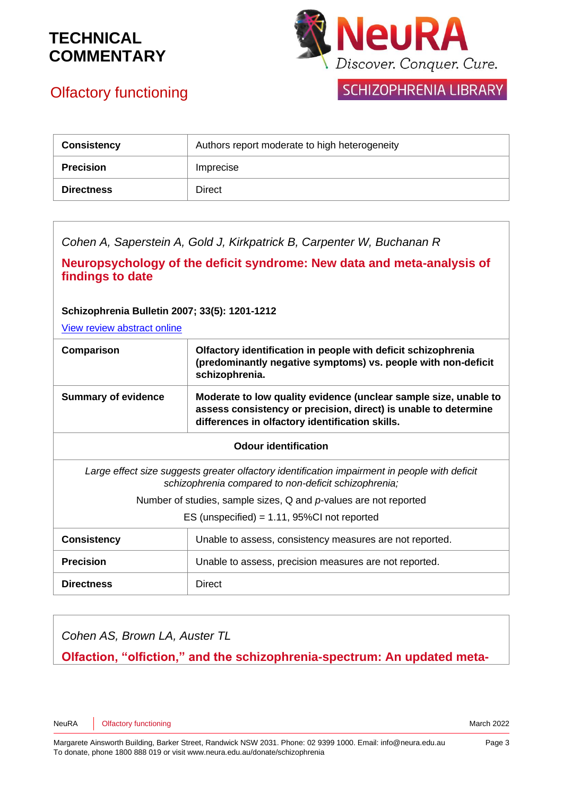

## Olfactory functioning

### **SCHIZOPHRENIA LIBRARY**

| <b>Consistency</b> | Authors report moderate to high heterogeneity |
|--------------------|-----------------------------------------------|
| <b>Precision</b>   | Imprecise                                     |
| <b>Directness</b>  | Direct                                        |

*Cohen A, Saperstein A, Gold J, Kirkpatrick B, Carpenter W, Buchanan R*

**Neuropsychology of the deficit syndrome: New data and meta-analysis of findings to date**

**Schizophrenia Bulletin 2007; 33(5): 1201-1212**

[View review abstract online](http://schizophreniabulletin.oxfordjournals.org/content/33/5/1201.abstract)

| Comparison                                                                                                                                            | Olfactory identification in people with deficit schizophrenia<br>(predominantly negative symptoms) vs. people with non-deficit<br>schizophrenia.                                       |  |
|-------------------------------------------------------------------------------------------------------------------------------------------------------|----------------------------------------------------------------------------------------------------------------------------------------------------------------------------------------|--|
| <b>Summary of evidence</b>                                                                                                                            | Moderate to low quality evidence (unclear sample size, unable to<br>assess consistency or precision, direct) is unable to determine<br>differences in olfactory identification skills. |  |
| <b>Odour identification</b>                                                                                                                           |                                                                                                                                                                                        |  |
| Large effect size suggests greater olfactory identification impairment in people with deficit<br>schizophrenia compared to non-deficit schizophrenia; |                                                                                                                                                                                        |  |
| Number of studies, sample sizes, $Q$ and $p$ -values are not reported                                                                                 |                                                                                                                                                                                        |  |
| ES (unspecified) = $1.11$ , 95%CI not reported                                                                                                        |                                                                                                                                                                                        |  |
| <b>Consistency</b>                                                                                                                                    | Unable to assess, consistency measures are not reported.                                                                                                                               |  |
| <b>Precision</b>                                                                                                                                      | Unable to assess, precision measures are not reported.                                                                                                                                 |  |
| <b>Directness</b>                                                                                                                                     | Direct                                                                                                                                                                                 |  |

*Cohen AS, Brown LA, Auster TL*

**Olfaction, "olfiction," and the schizophrenia-spectrum: An updated meta-**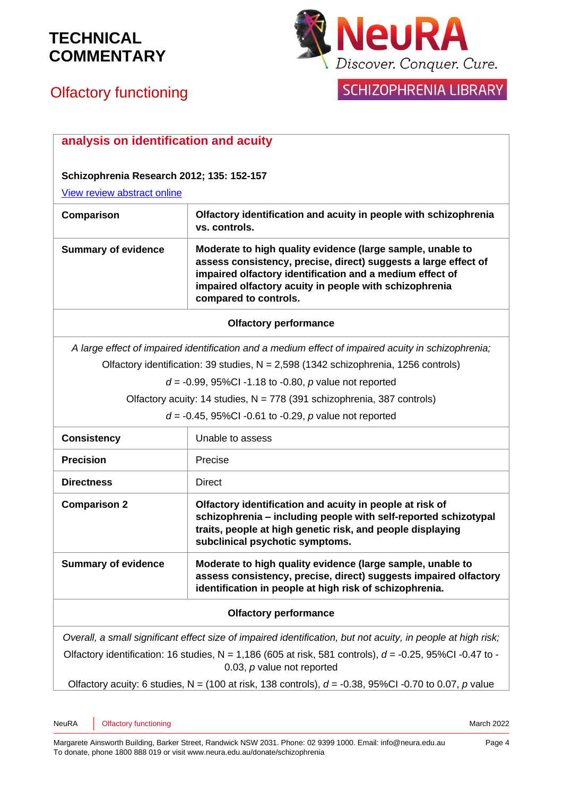

# Olfactory functioning

|  | SCHIZOPHRENIA LIBRARY |
|--|-----------------------|
|  |                       |

| analysis on identification and acuity                                                                                                       |                                                                                                                                                                                                                                                                              |  |  |
|---------------------------------------------------------------------------------------------------------------------------------------------|------------------------------------------------------------------------------------------------------------------------------------------------------------------------------------------------------------------------------------------------------------------------------|--|--|
|                                                                                                                                             |                                                                                                                                                                                                                                                                              |  |  |
| Schizophrenia Research 2012; 135: 152-157                                                                                                   |                                                                                                                                                                                                                                                                              |  |  |
| View review abstract online                                                                                                                 |                                                                                                                                                                                                                                                                              |  |  |
| Comparison                                                                                                                                  | Olfactory identification and acuity in people with schizophrenia<br>vs. controls.                                                                                                                                                                                            |  |  |
| <b>Summary of evidence</b>                                                                                                                  | Moderate to high quality evidence (large sample, unable to<br>assess consistency, precise, direct) suggests a large effect of<br>impaired olfactory identification and a medium effect of<br>impaired olfactory acuity in people with schizophrenia<br>compared to controls. |  |  |
| <b>Olfactory performance</b>                                                                                                                |                                                                                                                                                                                                                                                                              |  |  |
| A large effect of impaired identification and a medium effect of impaired acuity in schizophrenia;                                          |                                                                                                                                                                                                                                                                              |  |  |
| Olfactory identification: 39 studies, $N = 2,598$ (1342 schizophrenia, 1256 controls)                                                       |                                                                                                                                                                                                                                                                              |  |  |
| $d = -0.99$ , 95%Cl -1.18 to -0.80, p value not reported                                                                                    |                                                                                                                                                                                                                                                                              |  |  |
| Olfactory acuity: 14 studies, N = 778 (391 schizophrenia, 387 controls)                                                                     |                                                                                                                                                                                                                                                                              |  |  |
|                                                                                                                                             | $d = -0.45$ , 95%Cl -0.61 to -0.29, p value not reported                                                                                                                                                                                                                     |  |  |
| <b>Consistency</b>                                                                                                                          | Unable to assess                                                                                                                                                                                                                                                             |  |  |
| <b>Precision</b>                                                                                                                            | Precise                                                                                                                                                                                                                                                                      |  |  |
| <b>Directness</b>                                                                                                                           | <b>Direct</b>                                                                                                                                                                                                                                                                |  |  |
| <b>Comparison 2</b>                                                                                                                         | Olfactory identification and acuity in people at risk of<br>schizophrenia - including people with self-reported schizotypal<br>traits, people at high genetic risk, and people displaying<br>subclinical psychotic symptoms.                                                 |  |  |
| <b>Summary of evidence</b>                                                                                                                  | Moderate to high quality evidence (large sample, unable to<br>assess consistency, precise, direct) suggests impaired olfactory<br>identification in people at high risk of schizophrenia.                                                                                    |  |  |
| <b>Olfactory performance</b>                                                                                                                |                                                                                                                                                                                                                                                                              |  |  |
|                                                                                                                                             | Overall, a small significant effect size of impaired identification, but not acuity, in people at high risk;                                                                                                                                                                 |  |  |
| Olfactory identification: 16 studies, N = 1,186 (605 at risk, 581 controls), $d = -0.25$ , 95%Cl -0.47 to -<br>0.03, $p$ value not reported |                                                                                                                                                                                                                                                                              |  |  |
| Olfactory acuity: 6 studies, N = (100 at risk, 138 controls), $d = -0.38$ , 95%Cl -0.70 to 0.07, p value                                    |                                                                                                                                                                                                                                                                              |  |  |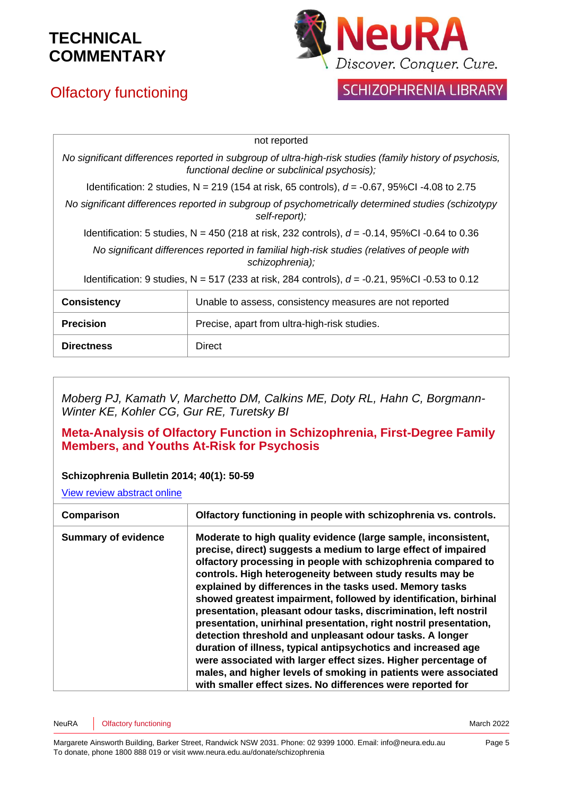# Olfactory functioning



## SCHIZOPHRENIA LIBRARY

|                                                                                                                                                           | not reported                                                                                     |  |
|-----------------------------------------------------------------------------------------------------------------------------------------------------------|--------------------------------------------------------------------------------------------------|--|
| No significant differences reported in subgroup of ultra-high-risk studies (family history of psychosis,<br>functional decline or subclinical psychosis); |                                                                                                  |  |
|                                                                                                                                                           | Identification: 2 studies, N = 219 (154 at risk, 65 controls), $d = -0.67$ , 95%CI -4.08 to 2.75 |  |
| No significant differences reported in subgroup of psychometrically determined studies (schizotypy<br>self-report);                                       |                                                                                                  |  |
| Identification: 5 studies, N = 450 (218 at risk, 232 controls), $d = -0.14$ , 95%CI -0.64 to 0.36                                                         |                                                                                                  |  |
| No significant differences reported in familial high-risk studies (relatives of people with<br>schizophrenia);                                            |                                                                                                  |  |
| Identification: 9 studies, N = 517 (233 at risk, 284 controls), $d = -0.21$ , 95%CI -0.53 to 0.12                                                         |                                                                                                  |  |
| <b>Consistency</b>                                                                                                                                        | Unable to assess, consistency measures are not reported                                          |  |
| <b>Precision</b>                                                                                                                                          | Precise, apart from ultra-high-risk studies.                                                     |  |
| <b>Directness</b>                                                                                                                                         | Direct                                                                                           |  |

*Moberg PJ, Kamath V, Marchetto DM, Calkins ME, Doty RL, Hahn C, Borgmann-Winter KE, Kohler CG, Gur RE, Turetsky BI*

#### **Meta-Analysis of Olfactory Function in Schizophrenia, First-Degree Family Members, and Youths At-Risk for Psychosis**

#### **Schizophrenia Bulletin 2014; 40(1): 50-59**

[View review abstract online](http://www.ncbi.nlm.nih.gov/pubmed/23641047)

| Comparison                 | Olfactory functioning in people with schizophrenia vs. controls.                                                                                                                                                                                                                                                                                                                                                                                                                                                                                                                                                                                                                                                                                                                                                                                                         |
|----------------------------|--------------------------------------------------------------------------------------------------------------------------------------------------------------------------------------------------------------------------------------------------------------------------------------------------------------------------------------------------------------------------------------------------------------------------------------------------------------------------------------------------------------------------------------------------------------------------------------------------------------------------------------------------------------------------------------------------------------------------------------------------------------------------------------------------------------------------------------------------------------------------|
| <b>Summary of evidence</b> | Moderate to high quality evidence (large sample, inconsistent,<br>precise, direct) suggests a medium to large effect of impaired<br>olfactory processing in people with schizophrenia compared to<br>controls. High heterogeneity between study results may be<br>explained by differences in the tasks used. Memory tasks<br>showed greatest impairment, followed by identification, birhinal<br>presentation, pleasant odour tasks, discrimination, left nostril<br>presentation, unirhinal presentation, right nostril presentation,<br>detection threshold and unpleasant odour tasks. A longer<br>duration of illness, typical antipsychotics and increased age<br>were associated with larger effect sizes. Higher percentage of<br>males, and higher levels of smoking in patients were associated<br>with smaller effect sizes. No differences were reported for |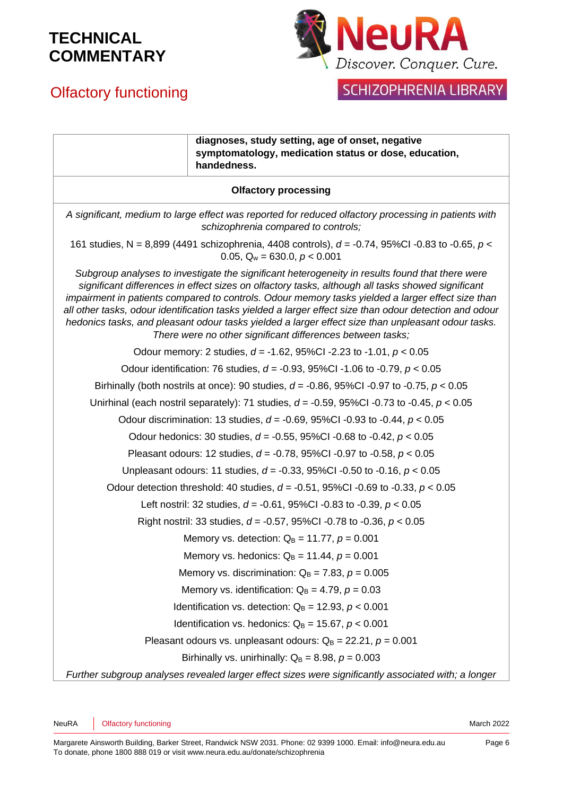

## Olfactory functioning

## SCHIZOPHRENIA LIBRARY

|                                                                                                                                                                                                                                                                                                                                                                                                                                                                                                                                                                                          | diagnoses, study setting, age of onset, negative<br>symptomatology, medication status or dose, education,<br>handedness. |  |
|------------------------------------------------------------------------------------------------------------------------------------------------------------------------------------------------------------------------------------------------------------------------------------------------------------------------------------------------------------------------------------------------------------------------------------------------------------------------------------------------------------------------------------------------------------------------------------------|--------------------------------------------------------------------------------------------------------------------------|--|
| <b>Olfactory processing</b>                                                                                                                                                                                                                                                                                                                                                                                                                                                                                                                                                              |                                                                                                                          |  |
| A significant, medium to large effect was reported for reduced olfactory processing in patients with<br>schizophrenia compared to controls;                                                                                                                                                                                                                                                                                                                                                                                                                                              |                                                                                                                          |  |
| 161 studies, N = 8,899 (4491 schizophrenia, 4408 controls), $d = -0.74$ , 95%Cl -0.83 to -0.65, $p <$<br>0.05, $Q_w = 630.0$ , $p < 0.001$                                                                                                                                                                                                                                                                                                                                                                                                                                               |                                                                                                                          |  |
| Subgroup analyses to investigate the significant heterogeneity in results found that there were<br>significant differences in effect sizes on olfactory tasks, although all tasks showed significant<br>impairment in patients compared to controls. Odour memory tasks yielded a larger effect size than<br>all other tasks, odour identification tasks yielded a larger effect size than odour detection and odour<br>hedonics tasks, and pleasant odour tasks yielded a larger effect size than unpleasant odour tasks.<br>There were no other significant differences between tasks; |                                                                                                                          |  |
|                                                                                                                                                                                                                                                                                                                                                                                                                                                                                                                                                                                          | Odour memory: 2 studies, $d = -1.62$ , 95%CI -2.23 to -1.01, $p < 0.05$                                                  |  |
| Odour identification: 76 studies, $d = -0.93$ , 95%CI -1.06 to -0.79, $p < 0.05$                                                                                                                                                                                                                                                                                                                                                                                                                                                                                                         |                                                                                                                          |  |
| Birhinally (both nostrils at once): 90 studies, $d = -0.86$ , 95%CI -0.97 to -0.75, $p < 0.05$                                                                                                                                                                                                                                                                                                                                                                                                                                                                                           |                                                                                                                          |  |
| Unirhinal (each nostril separately): 71 studies, $d = -0.59$ , 95%CI -0.73 to -0.45, $p < 0.05$                                                                                                                                                                                                                                                                                                                                                                                                                                                                                          |                                                                                                                          |  |
| Odour discrimination: 13 studies, $d = -0.69$ , 95%CI -0.93 to -0.44, $p < 0.05$                                                                                                                                                                                                                                                                                                                                                                                                                                                                                                         |                                                                                                                          |  |
| Odour hedonics: 30 studies, $d = -0.55$ , 95%CI -0.68 to -0.42, $p < 0.05$                                                                                                                                                                                                                                                                                                                                                                                                                                                                                                               |                                                                                                                          |  |
| Pleasant odours: 12 studies, $d = -0.78$ , 95%CI -0.97 to -0.58, $p < 0.05$                                                                                                                                                                                                                                                                                                                                                                                                                                                                                                              |                                                                                                                          |  |
| Unpleasant odours: 11 studies, $d = -0.33$ , 95%CI -0.50 to -0.16, $p < 0.05$                                                                                                                                                                                                                                                                                                                                                                                                                                                                                                            |                                                                                                                          |  |
| Odour detection threshold: 40 studies, $d = -0.51$ , 95%CI -0.69 to -0.33, $p < 0.05$                                                                                                                                                                                                                                                                                                                                                                                                                                                                                                    |                                                                                                                          |  |
|                                                                                                                                                                                                                                                                                                                                                                                                                                                                                                                                                                                          | Left nostril: 32 studies, $d = -0.61$ , 95%CI -0.83 to -0.39, $p < 0.05$                                                 |  |
|                                                                                                                                                                                                                                                                                                                                                                                                                                                                                                                                                                                          | Right nostril: 33 studies, $d = -0.57$ , 95%CI -0.78 to -0.36, $p < 0.05$                                                |  |
|                                                                                                                                                                                                                                                                                                                                                                                                                                                                                                                                                                                          | Memory vs. detection: $Q_B = 11.77$ , $p = 0.001$                                                                        |  |
| Memory vs. hedonics: $Q_B = 11.44$ , $p = 0.001$                                                                                                                                                                                                                                                                                                                                                                                                                                                                                                                                         |                                                                                                                          |  |
| Memory vs. discrimination: $Q_B = 7.83$ , $p = 0.005$                                                                                                                                                                                                                                                                                                                                                                                                                                                                                                                                    |                                                                                                                          |  |
| Memory vs. identification: $Q_B = 4.79$ , $p = 0.03$                                                                                                                                                                                                                                                                                                                                                                                                                                                                                                                                     |                                                                                                                          |  |
|                                                                                                                                                                                                                                                                                                                                                                                                                                                                                                                                                                                          | Identification vs. detection: $Q_B = 12.93$ , $p < 0.001$                                                                |  |
|                                                                                                                                                                                                                                                                                                                                                                                                                                                                                                                                                                                          | Identification vs. hedonics: $Q_B = 15.67$ , $p < 0.001$                                                                 |  |
|                                                                                                                                                                                                                                                                                                                                                                                                                                                                                                                                                                                          | Pleasant odours vs. unpleasant odours: $Q_B = 22.21$ , $p = 0.001$                                                       |  |
|                                                                                                                                                                                                                                                                                                                                                                                                                                                                                                                                                                                          | Birhinally vs. unirhinally: $Q_B = 8.98$ , $p = 0.003$                                                                   |  |
|                                                                                                                                                                                                                                                                                                                                                                                                                                                                                                                                                                                          | Further subgroup analyses revealed larger effect sizes were significantly associated with; a longer                      |  |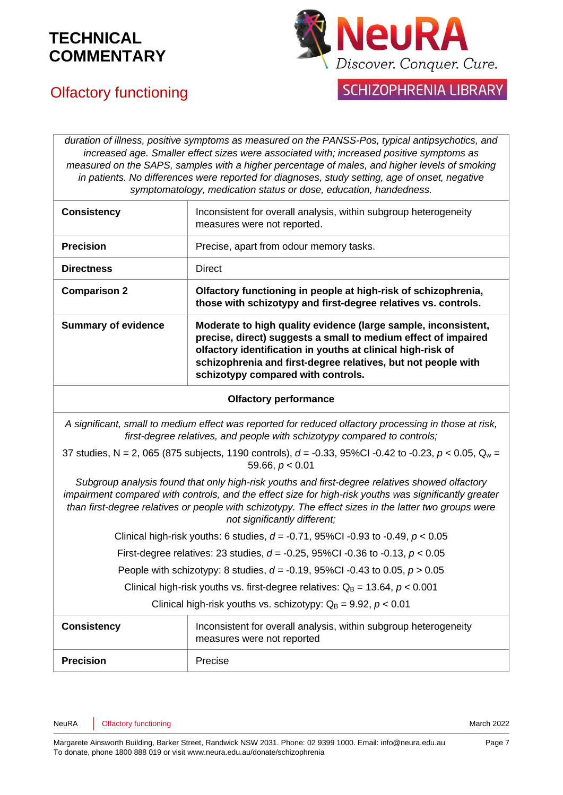

## Olfactory functioning

### **SCHIZOPHRENIA LIBRARY**

*duration of illness, positive symptoms as measured on the PANSS-Pos, typical antipsychotics, and increased age. Smaller effect sizes were associated with; increased positive symptoms as measured on the SAPS, samples with a higher percentage of males, and higher levels of smoking in patients. No differences were reported for diagnoses, study setting, age of onset, negative symptomatology, medication status or dose, education, handedness.*

| <b>Consistency</b>         | Inconsistent for overall analysis, within subgroup heterogeneity<br>measures were not reported.                                                                                                                                                                                                        |
|----------------------------|--------------------------------------------------------------------------------------------------------------------------------------------------------------------------------------------------------------------------------------------------------------------------------------------------------|
| <b>Precision</b>           | Precise, apart from odour memory tasks.                                                                                                                                                                                                                                                                |
| <b>Directness</b>          | <b>Direct</b>                                                                                                                                                                                                                                                                                          |
| <b>Comparison 2</b>        | Olfactory functioning in people at high-risk of schizophrenia,<br>those with schizotypy and first-degree relatives vs. controls.                                                                                                                                                                       |
| <b>Summary of evidence</b> | Moderate to high quality evidence (large sample, inconsistent,<br>precise, direct) suggests a small to medium effect of impaired<br>olfactory identification in youths at clinical high-risk of<br>schizophrenia and first-degree relatives, but not people with<br>schizotypy compared with controls. |

#### **Olfactory performance**

*A significant, small to medium effect was reported for reduced olfactory processing in those at risk, first-degree relatives, and people with schizotypy compared to controls;*

37 studies, N = 2, 065 (875 subjects, 1190 controls), *d* = -0.33, 95%CI -0.42 to -0.23, *p* < 0.05, Q<sup>w</sup> = 59.66, *p* < 0.01

*Subgroup analysis found that only high-risk youths and first-degree relatives showed olfactory impairment compared with controls, and the effect size for high-risk youths was significantly greater than first-degree relatives or people with schizotypy. The effect sizes in the latter two groups were not significantly different;*

Clinical high-risk youths: 6 studies, *d* = -0.71, 95%CI -0.93 to -0.49, *p* < 0.05

First-degree relatives: 23 studies, *d* = -0.25, 95%CI -0.36 to -0.13, *p* < 0.05

People with schizotypy: 8 studies, *d* = -0.19, 95%CI -0.43 to 0.05, *p* > 0.05

Clinical high-risk youths vs. first-degree relatives:  $Q_B = 13.64$ ,  $p < 0.001$ 

Clinical high-risk youths vs. schizotypy:  $Q_B = 9.92$ ,  $p < 0.01$ 

| <b>Consistency</b> | Inconsistent for overall analysis, within subgroup heterogeneity<br>measures were not reported |
|--------------------|------------------------------------------------------------------------------------------------|
| <b>Precision</b>   | Precise                                                                                        |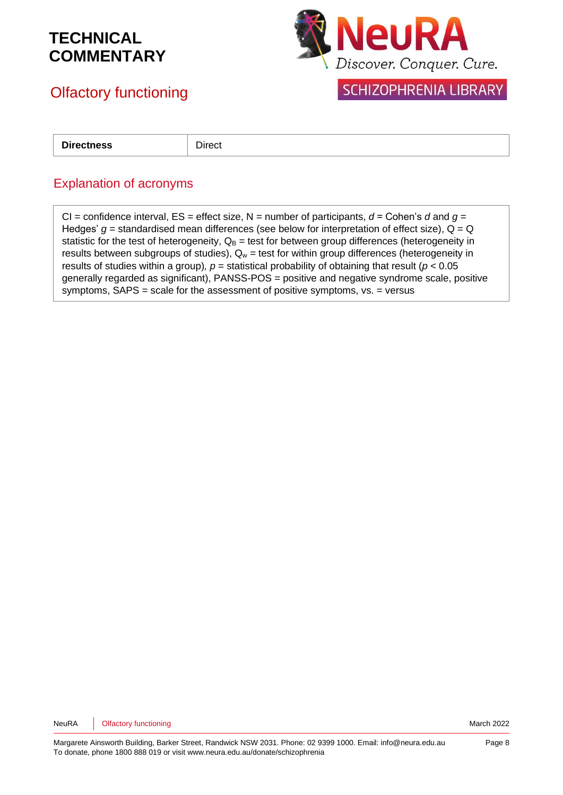

## Olfactory functioning

**SCHIZOPHRENIA LIBRARY** 

**Directness Direct** 

### Explanation of acronyms

CI = confidence interval,  $ES =$  effect size,  $N =$  number of participants,  $d =$  Cohen's  $d$  and  $g =$ Hedges'  $g$  = standardised mean differences (see below for interpretation of effect size),  $Q = Q$ statistic for the test of heterogeneity,  $Q_B$  = test for between group differences (heterogeneity in results between subgroups of studies),  $Q_w$  = test for within group differences (heterogeneity in results of studies within a group),  $p =$  statistical probability of obtaining that result ( $p < 0.05$ generally regarded as significant), PANSS-POS = positive and negative syndrome scale, positive symptoms, SAPS = scale for the assessment of positive symptoms, vs. = versus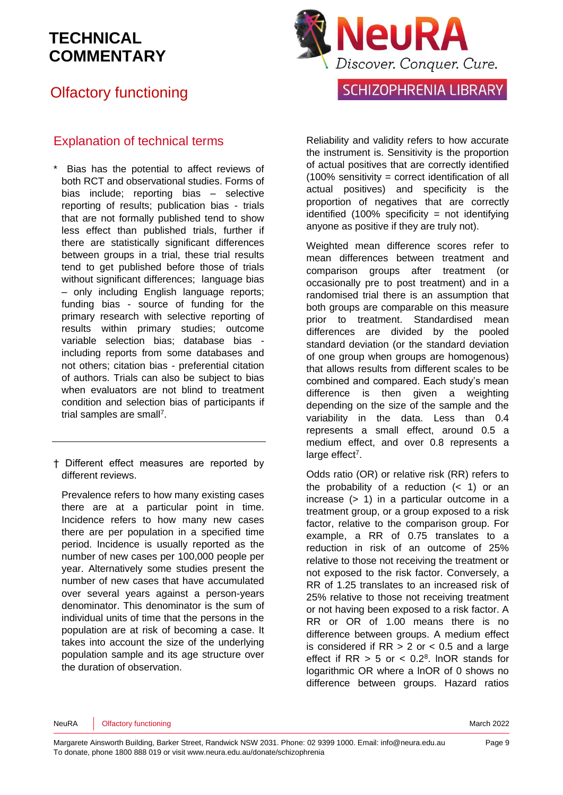## Olfactory functioning

### Explanation of technical terms

- Bias has the potential to affect reviews of both RCT and observational studies. Forms of bias include; reporting bias – selective reporting of results; publication bias - trials that are not formally published tend to show less effect than published trials, further if there are statistically significant differences between groups in a trial, these trial results tend to get published before those of trials without significant differences; language bias – only including English language reports; funding bias - source of funding for the primary research with selective reporting of results within primary studies; outcome variable selection bias; database bias including reports from some databases and not others; citation bias - preferential citation of authors. Trials can also be subject to bias when evaluators are not blind to treatment condition and selection bias of participants if trial samples are sma[ll](#page-10-3)<sup>7</sup>.
- † Different effect measures are reported by different reviews.

Prevalence refers to how many existing cases there are at a particular point in time. Incidence refers to how many new cases there are per population in a specified time period. Incidence is usually reported as the number of new cases per 100,000 people per year. Alternatively some studies present the number of new cases that have accumulated over several years against a person-years denominator. This denominator is the sum of individual units of time that the persons in the population are at risk of becoming a case. It takes into account the size of the underlying population sample and its age structure over the duration of observation.



### **SCHIZOPHRENIA LIBRARY**

Reliability and validity refers to how accurate the instrument is. Sensitivity is the proportion of actual positives that are correctly identified  $(100\%$  sensitivity = correct identification of all actual positives) and specificity is the proportion of negatives that are correctly identified  $(100\%$  specificity = not identifying anyone as positive if they are truly not).

Weighted mean difference scores refer to mean differences between treatment and comparison groups after treatment (or occasionally pre to post treatment) and in a randomised trial there is an assumption that both groups are comparable on this measure prior to treatment. Standardised mean differences are divided by the pooled standard deviation (or the standard deviation of one group when groups are homogenous) that allows results from different scales to be combined and compared. Each study's mean difference is then given a weighting depending on the size of the sample and the variability in the data. Less than 0.4 represents a small effect, around 0.5 a medium effect, and over 0.8 represents a large effect<sup>[7](#page-10-3)</sup>.

Odds ratio (OR) or relative risk (RR) refers to the probability of a reduction  $( $1$ )$  or an increase (> 1) in a particular outcome in a treatment group, or a group exposed to a risk factor, relative to the comparison group. For example, a RR of 0.75 translates to a reduction in risk of an outcome of 25% relative to those not receiving the treatment or not exposed to the risk factor. Conversely, a RR of 1.25 translates to an increased risk of 25% relative to those not receiving treatment or not having been exposed to a risk factor. A RR or OR of 1.00 means there is no difference between groups. A medium effect is considered if  $RR > 2$  or  $< 0.5$  and a large effect if  $RR > 5$  or  $< 0.2<sup>8</sup>$  $< 0.2<sup>8</sup>$  $< 0.2<sup>8</sup>$ . InOR stands for logarithmic OR where a lnOR of 0 shows no difference between groups. Hazard ratios

NeuRA **Olfactory functioning** March 2022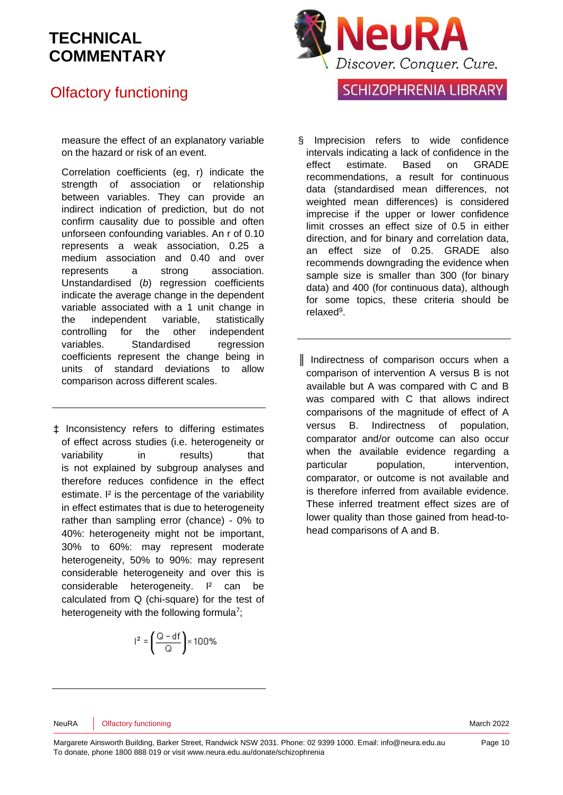## Olfactory functioning

measure the effect of an explanatory variable on the hazard or risk of an event.

Correlation coefficients (eg, r) indicate the strength of association or relationship between variables. They can provide an indirect indication of prediction, but do not confirm causality due to possible and often unforseen confounding variables. An r of 0.10 represents a weak association, 0.25 a medium association and 0.40 and over represents a strong association. Unstandardised (*b*) regression coefficients indicate the average change in the dependent variable associated with a 1 unit change in the independent variable, statistically controlling for the other independent variables. Standardised regression coefficients represent the change being in units of standard deviations to allow comparison across different scales.

‡ Inconsistency refers to differing estimates of effect across studies (i.e. heterogeneity or variability in results) that is not explained by subgroup analyses and therefore reduces confidence in the effect estimate. I² is the percentage of the variability in effect estimates that is due to heterogeneity rather than sampling error (chance) - 0% to 40%: heterogeneity might not be important, 30% to 60%: may represent moderate heterogeneity, 50% to 90%: may represent considerable heterogeneity and over this is considerable heterogeneity. I<sup>2</sup> can be calculated from Q (chi-square) for the test of heterogeneity with the following formul[a](#page-10-3)<sup>7</sup>;

$$
r^2 = \left(\frac{Q - df}{Q}\right) \times 100\%
$$



### **SCHIZOPHRENIA LIBRARY**

- Imprecision refers to wide confidence intervals indicating a lack of confidence in the effect estimate. Based on GRADE recommendations, a result for continuous data (standardised mean differences, not weighted mean differences) is considered imprecise if the upper or lower confidence limit crosses an effect size of 0.5 in either direction, and for binary and correlation data, an effect size of 0.25. GRADE also recommends downgrading the evidence when sample size is smaller than 300 (for binary data) and 400 (for continuous data), although for some topics, these criteria should be relaxe[d](#page-10-5)<sup>9</sup>.
- ║ Indirectness of comparison occurs when a comparison of intervention A versus B is not available but A was compared with C and B was compared with C that allows indirect comparisons of the magnitude of effect of A versus B. Indirectness of population, comparator and/or outcome can also occur when the available evidence regarding a particular population, intervention, comparator, or outcome is not available and is therefore inferred from available evidence. These inferred treatment effect sizes are of lower quality than those gained from head-tohead comparisons of A and B.

NeuRA **Olfactory functioning** March 2022